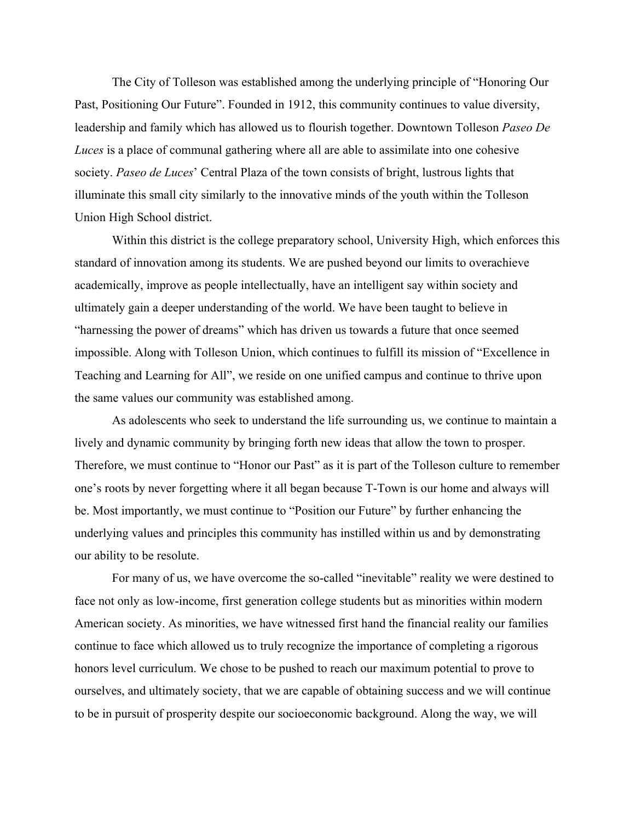The City of Tolleson was established among the underlying principle of "Honoring Our Past, Positioning Our Future". Founded in 1912, this community continues to value diversity, leadership and family which has allowed us to flourish together. Downtown Tolleson *Paseo De Luces* is a place of communal gathering where all are able to assimilate into one cohesive society. *Paseo de Luces*' Central Plaza of the town consists of bright, lustrous lights that illuminate this small city similarly to the innovative minds of the youth within the Tolleson Union High School district.

Within this district is the college preparatory school, University High, which enforces this standard of innovation among its students. We are pushed beyond our limits to overachieve academically, improve as people intellectually, have an intelligent say within society and ultimately gain a deeper understanding of the world. We have been taught to believe in "harnessing the power of dreams" which has driven us towards a future that once seemed impossible. Along with Tolleson Union, which continues to fulfill its mission of "Excellence in Teaching and Learning for All", we reside on one unified campus and continue to thrive upon the same values our community was established among.

As adolescents who seek to understand the life surrounding us, we continue to maintain a lively and dynamic community by bringing forth new ideas that allow the town to prosper. Therefore, we must continue to "Honor our Past" as it is part of the Tolleson culture to remember one's roots by never forgetting where it all began because T-Town is our home and always will be. Most importantly, we must continue to "Position our Future" by further enhancing the underlying values and principles this community has instilled within us and by demonstrating our ability to be resolute.

For many of us, we have overcome the so-called "inevitable" reality we were destined to face not only as low-income, first generation college students but as minorities within modern American society. As minorities, we have witnessed first hand the financial reality our families continue to face which allowed us to truly recognize the importance of completing a rigorous honors level curriculum. We chose to be pushed to reach our maximum potential to prove to ourselves, and ultimately society, that we are capable of obtaining success and we will continue to be in pursuit of prosperity despite our socioeconomic background. Along the way, we will